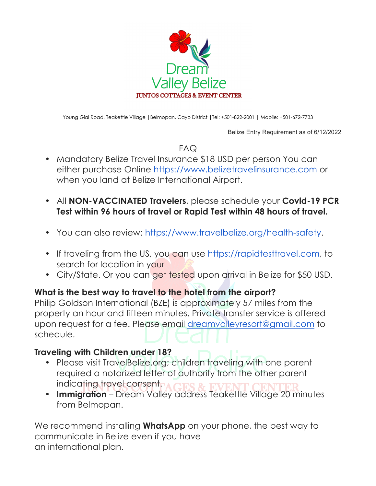

Young Gial Road, Teakettle Village |Belmopan, Cayo District |Tel: +501-822-2001 | Mobile: +501-672-7733

Belize Entry Requirement as of 6/12/2022

FAQ

- Mandatory Belize Travel Insurance \$18 USD per person You can either purchase Online https://www.belizetravelinsurance.com or when you land at Belize International Airport.
- All **NON-VACCINATED Travelers**, please schedule your **Covid-19 PCR Test within 96 hours of travel or Rapid Test within 48 hours of travel.**
- You can also review: https://www.travelbelize.org/health-safety.
- If traveling from the US, you can use https://rapidtesttravel.com, to search for location in your
- City/State. Or you can get tested upon arrival in Belize for \$50 USD.

## **What is the best way to travel to the hotel from the airport?**

Philip Goldson International (BZE) is approximately 57 miles from the property an hour and fifteen minutes. Private transfer service is offered upon request for a fee. Please email dreamvalleyresort@gmail.com to schedule.

### **Traveling with Children under 18?**

- Please visit TravelBelize.org; children traveling with one parent required a notarized letter of authority from the other parent indicating travel consent.
- **Immigration**  Dream Valley address Teakettle Village 20 minutes from Belmopan.

We recommend installing **WhatsApp** on your phone, the best way to communicate in Belize even if you have an international plan.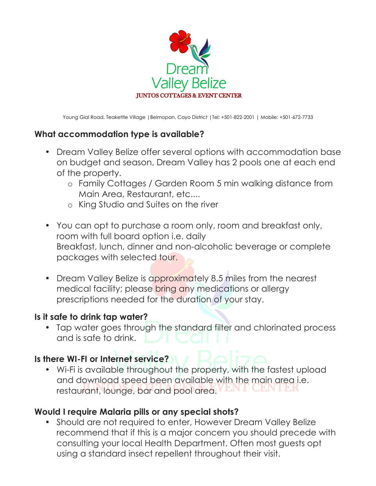

Young Gial Road, Teakettle Village |Belmopan, Cayo District |Tel: +501-822-2001 | Mobile: +501-672-7733

## **What accommodation type is available?**

- Dream Valley Belize offer several options with accommodation base on budget and season, Dream Valley has 2 pools one at each end of the property.
	- o Family Cottages / Garden Room 5 min walking distance from Main Area, Restaurant, etc....
	- o King Studio and Suites on the river
- You can opt to purchase a room only, room and breakfast only, room with full board option i.e. daily Breakfast, lunch, dinner and non-alcoholic beverage or complete packages with selected tour.
- Dream Valley Belize is approximately 8.5 miles from the nearest medical facility; please bring any medications or allergy prescriptions needed for the duration of your stay.

## **Is it safe to drink tap water?**

• Tap water goes through the standard filter and chlorinated process and is safe to drink.

# **Is there WI-FI or Internet service?**

• Wi-Fi is available throughout the property, with the fastest upload and download speed been available with the main area i.e. restaurant, lounge, bar and pool area.

## **Would I require Malaria pills or any special shots?**

• Should are not required to enter, However Dream Valley Belize recommend that if this is a major concern you should precede with consulting your local Health Department. Often most guests opt using a standard insect repellent throughout their visit.